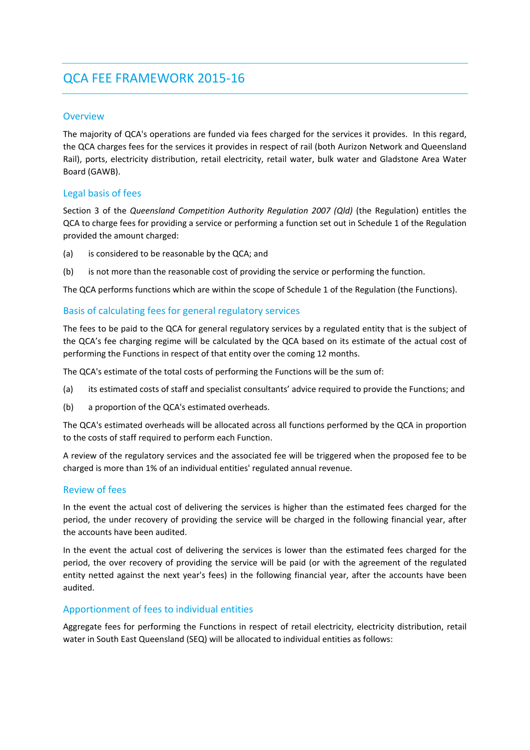# QCA FEE FRAMEWORK 2015‐16

## **Overview**

The majority of QCA's operations are funded via fees charged for the services it provides. In this regard, the QCA charges fees for the services it provides in respect of rail (both Aurizon Network and Queensland Rail), ports, electricity distribution, retail electricity, retail water, bulk water and Gladstone Area Water Board (GAWB).

## Legal basis of fees

Section 3 of the *Queensland Competition Authority Regulation 2007 (Qld)* (the Regulation) entitles the QCA to charge fees for providing a service or performing a function set out in Schedule 1 of the Regulation provided the amount charged:

- (a) is considered to be reasonable by the QCA; and
- (b) is not more than the reasonable cost of providing the service or performing the function.

The QCA performs functions which are within the scope of Schedule 1 of the Regulation (the Functions).

## Basis of calculating fees for general regulatory services

The fees to be paid to the QCA for general regulatory services by a regulated entity that is the subject of the QCA's fee charging regime will be calculated by the QCA based on its estimate of the actual cost of performing the Functions in respect of that entity over the coming 12 months.

The QCA's estimate of the total costs of performing the Functions will be the sum of:

- (a) its estimated costs of staff and specialist consultants' advice required to provide the Functions; and
- (b) a proportion of the QCA's estimated overheads.

The QCA's estimated overheads will be allocated across all functions performed by the QCA in proportion to the costs of staff required to perform each Function.

A review of the regulatory services and the associated fee will be triggered when the proposed fee to be charged is more than 1% of an individual entities' regulated annual revenue.

## Review of fees

In the event the actual cost of delivering the services is higher than the estimated fees charged for the period, the under recovery of providing the service will be charged in the following financial year, after the accounts have been audited.

In the event the actual cost of delivering the services is lower than the estimated fees charged for the period, the over recovery of providing the service will be paid (or with the agreement of the regulated entity netted against the next year's fees) in the following financial year, after the accounts have been audited.

## Apportionment of fees to individual entities

Aggregate fees for performing the Functions in respect of retail electricity, electricity distribution, retail water in South East Queensland (SEQ) will be allocated to individual entities as follows: